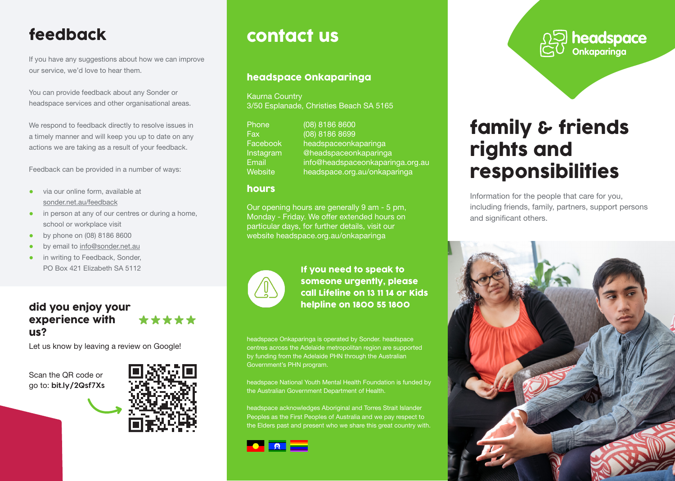## feedback

If you have any suggestions about how we can improve our service, we'd love to hear them.

You can provide feedback about any Sonder or headspace services and other organisational areas.

We respond to feedback directly to resolve issues in a timely manner and will keep you up to date on any actions we are taking as a result of your feedback.

Feedback can be provided in a number of ways:

- via our online form, available at sonder.net.au/feedback
- in person at any of our centres or during a home, school or workplace visit
- by phone on (08) 8186 8600
- by email to info@sonder.net.au
- in writing to Feedback, Sonder, PO Box 421 Elizabeth SA 5112

#### did you enjoy your experience with \*\*\*\*\* us?

Let us know by leaving a review on Google!

Scan the QR code or go to: **bit.ly/2Qsf7Xs**



# contact us

### headspace Onkaparinga

Kaurna Country 3/50 Esplanade, Christies Beach SA 5165

| Phone          | $(08)$ 8186 8600                 |
|----------------|----------------------------------|
| Fax:           | (08) 8186 8699                   |
| Facebook       | headspaceonkaparinga             |
| Instagram      | @headspaceonkaparinga            |
| Email          | info@headspaceonkaparinga.org.au |
| <b>Website</b> | headspace.org.au/onkaparinga     |

#### hours

Our opening hours are generally 9 am - 5 pm, Monday - Friday. We offer extended hours on particular days, for further details, visit our website headspace.org.au/onkaparinga



If you need to speak to someone urgently, please call Lifeline on 13 11 14 or Kids helpline on 1800 55 1800

headspace Onkaparinga is operated by Sonder. headspace centres across the Adelaide metropolitan region are supported by funding from the Adelaide PHN through the Australian Government's PHN program.

headspace National Youth Mental Health Foundation is funded by the Australian Government Department of Health.

headspace acknowledges Aboriginal and Torres Strait Islander Peoples as the First Peoples of Australia and we pay respect to the Elders past and present who we share this great country with.



**Onkaparinga**

# family & friends rights and responsibilities

Information for the people that care for you, including friends, family, partners, support persons and significant others.